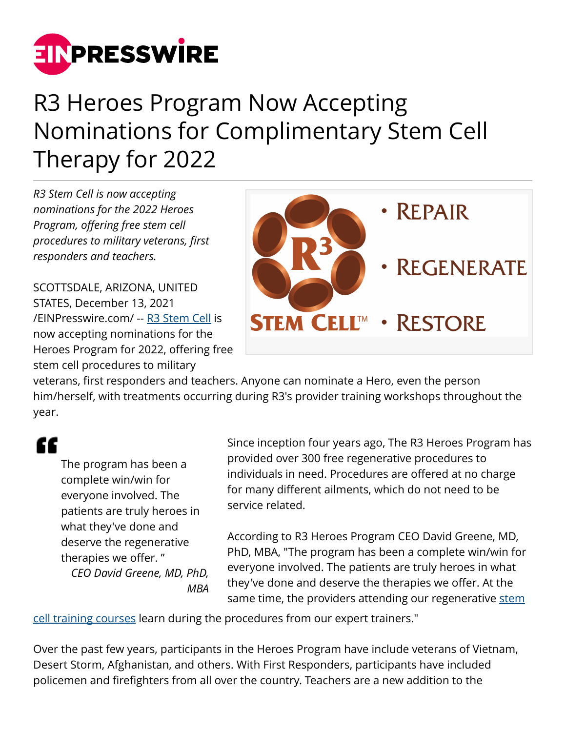

## R3 Heroes Program Now Accepting Nominations for Complimentary Stem Cell Therapy for 2022

*R3 Stem Cell is now accepting nominations for the 2022 Heroes Program, offering free stem cell procedures to military veterans, first responders and teachers.*

SCOTTSDALE, ARIZONA, UNITED STATES, December 13, 2021 [/EINPresswire.com/](http://www.einpresswire.com) -- [R3 Stem Cell](https://stemcelltreatmentclinic.com/) is now accepting nominations for the Heroes Program for 2022, offering free stem cell procedures to military



veterans, first responders and teachers. Anyone can nominate a Hero, even the person him/herself, with treatments occurring during R3's provider training workshops throughout the year.

## "

The program has been a complete win/win for everyone involved. The patients are truly heroes in what they've done and deserve the regenerative therapies we offer. " *CEO David Greene, MD, PhD, MBA*

Since inception four years ago, The R3 Heroes Program has provided over 300 free regenerative procedures to individuals in need. Procedures are offered at no charge for many different ailments, which do not need to be service related.

According to R3 Heroes Program CEO David Greene, MD, PhD, MBA, "The program has been a complete win/win for everyone involved. The patients are truly heroes in what they've done and deserve the therapies we offer. At the same time, the providers attending our regenerative [stem](https://stemcelltrainingcourse.org/)

[cell training courses](https://stemcelltrainingcourse.org/) learn during the procedures from our expert trainers."

Over the past few years, participants in the Heroes Program have include veterans of Vietnam, Desert Storm, Afghanistan, and others. With First Responders, participants have included policemen and firefighters from all over the country. Teachers are a new addition to the